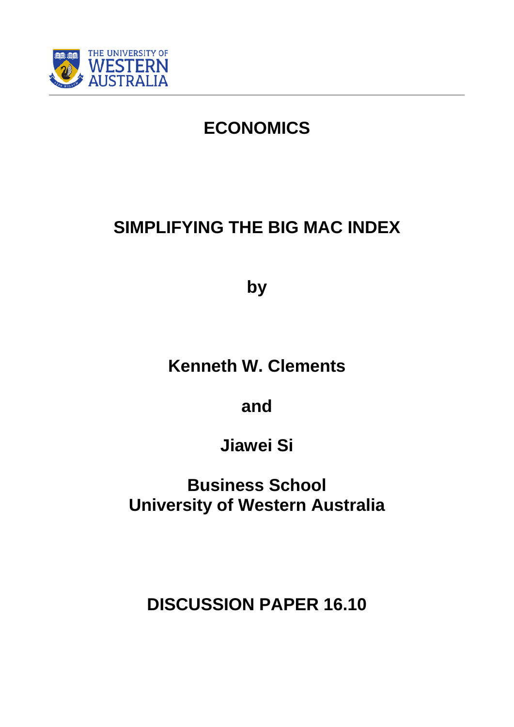

# **ECONOMICS**

# **SIMPLIFYING THE BIG MAC INDEX**

**by**

**Kenneth W. Clements** 

**and** 

**Jiawei Si**

**Business School University of Western Australia**

**DISCUSSION PAPER 16.10**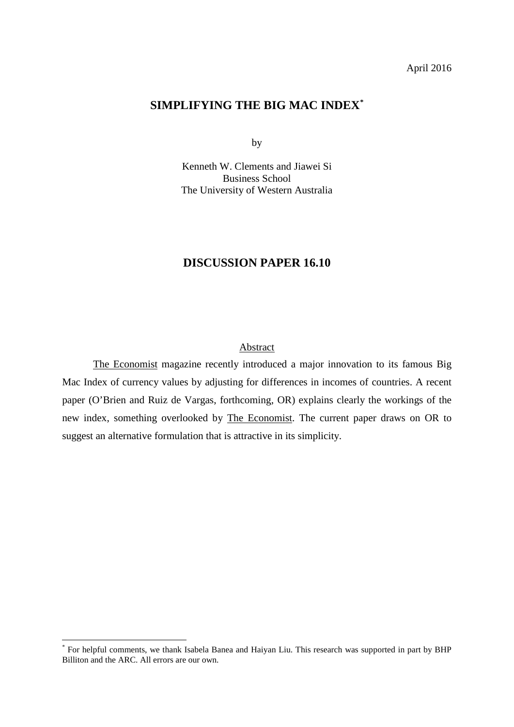## April 2016

# **SIMPLIFYING THE BIG MAC INDEX[\\*](#page-1-0)**

by

Kenneth W. Clements and Jiawei Si Business School The University of Western Australia

# **DISCUSSION PAPER 16.10**

# Abstract

The Economist magazine recently introduced a major innovation to its famous Big Mac Index of currency values by adjusting for differences in incomes of countries. A recent paper (O'Brien and Ruiz de Vargas, forthcoming, OR) explains clearly the workings of the new index, something overlooked by The Economist. The current paper draws on OR to suggest an alternative formulation that is attractive in its simplicity.

<span id="page-1-0"></span> <sup>\*</sup> For helpful comments, we thank Isabela Banea and Haiyan Liu. This research was supported in part by BHP Billiton and the ARC. All errors are our own.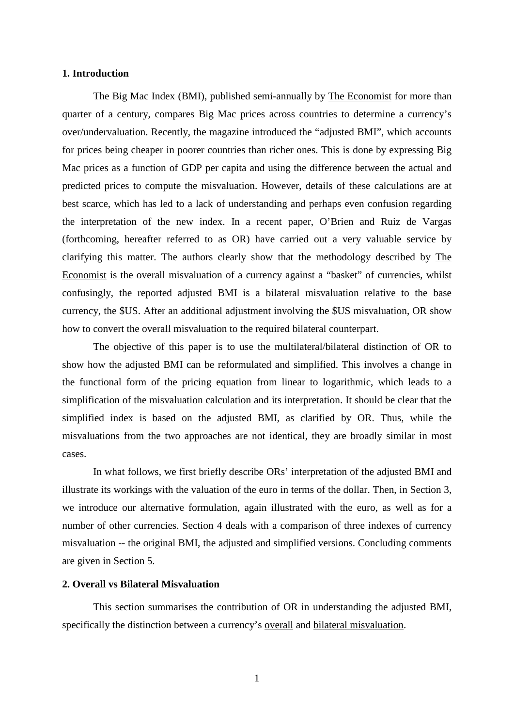# **1. Introduction**

The Big Mac Index (BMI), published semi-annually by The Economist for more than quarter of a century, compares Big Mac prices across countries to determine a currency's over/undervaluation. Recently, the magazine introduced the "adjusted BMI", which accounts for prices being cheaper in poorer countries than richer ones. This is done by expressing Big Mac prices as a function of GDP per capita and using the difference between the actual and predicted prices to compute the misvaluation. However, details of these calculations are at best scarce, which has led to a lack of understanding and perhaps even confusion regarding the interpretation of the new index. In a recent paper, O'Brien and Ruiz de Vargas (forthcoming, hereafter referred to as OR) have carried out a very valuable service by clarifying this matter. The authors clearly show that the methodology described by The Economist is the overall misvaluation of a currency against a "basket" of currencies, whilst confusingly, the reported adjusted BMI is a bilateral misvaluation relative to the base currency, the \$US. After an additional adjustment involving the \$US misvaluation, OR show how to convert the overall misvaluation to the required bilateral counterpart.

The objective of this paper is to use the multilateral/bilateral distinction of OR to show how the adjusted BMI can be reformulated and simplified. This involves a change in the functional form of the pricing equation from linear to logarithmic, which leads to a simplification of the misvaluation calculation and its interpretation. It should be clear that the simplified index is based on the adjusted BMI, as clarified by OR. Thus, while the misvaluations from the two approaches are not identical, they are broadly similar in most cases.

In what follows, we first briefly describe ORs' interpretation of the adjusted BMI and illustrate its workings with the valuation of the euro in terms of the dollar. Then, in Section 3, we introduce our alternative formulation, again illustrated with the euro, as well as for a number of other currencies. Section 4 deals with a comparison of three indexes of currency misvaluation -- the original BMI, the adjusted and simplified versions. Concluding comments are given in Section 5.

## **2. Overall vs Bilateral Misvaluation**

This section summarises the contribution of OR in understanding the adjusted BMI, specifically the distinction between a currency's overall and bilateral misvaluation.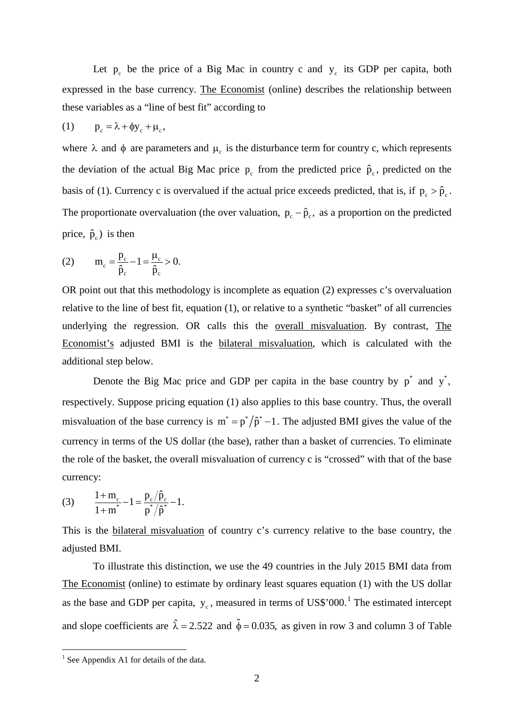Let  $p_c$  be the price of a Big Mac in country c and  $y_c$  its GDP per capita, both expressed in the base currency. The Economist (online) describes the relationship between these variables as a "line of best fit" according to

$$
(1) \t p_c = \lambda + \phi y_c + \mu_c,
$$

where  $\lambda$  and  $\phi$  are parameters and  $\mu_c$  is the disturbance term for country c, which represents the deviation of the actual Big Mac price  $p_c$  from the predicted price  $\hat{p}_c$ , predicted on the basis of (1). Currency c is overvalued if the actual price exceeds predicted, that is, if  $p_c > \hat{p}_c$ . The proportionate overvaluation (the over valuation,  $p_c - \hat{p}_c$ , as a proportion on the predicted price,  $\hat{p}_c$ ) is then

(2) 
$$
m_c = \frac{p_c}{\hat{p}_c} - 1 = \frac{\mu_c}{\hat{p}_c} > 0.
$$

OR point out that this methodology is incomplete as equation (2) expresses c's overvaluation relative to the line of best fit, equation (1), or relative to a synthetic "basket" of all currencies underlying the regression. OR calls this the overall misvaluation. By contrast, The Economist's adjusted BMI is the bilateral misvaluation, which is calculated with the additional step below.

Denote the Big Mac price and GDP per capita in the base country by  $p^*$  and  $y^*$ , respectively. Suppose pricing equation (1) also applies to this base country. Thus, the overall misvaluation of the base currency is  $m^* = p^* / \hat{p}^* - 1$ . The adjusted BMI gives the value of the currency in terms of the US dollar (the base), rather than a basket of currencies. To eliminate the role of the basket, the overall misvaluation of currency c is "crossed" with that of the base currency:

(3) 
$$
\frac{1+m_c}{1+m^*}-1 = \frac{p_c/\hat{p}_c}{p^*/\hat{p}^*}-1.
$$

This is the bilateral misvaluation of country c's currency relative to the base country, the adjusted BMI.

To illustrate this distinction, we use the 49 countries in the July 2015 BMI data from The Economist (online) to estimate by ordinary least squares equation (1) with the US dollar as the base and GDP per capita,  $y_c$ , measured in terms of US\$'000.<sup>[1](#page-3-0)</sup> The estimated intercept and slope coefficients are  $\hat{\lambda} = 2.522$  and  $\hat{\phi} = 0.035$ , as given in row 3 and column 3 of Table

<span id="page-3-0"></span> $<sup>1</sup>$  See Appendix A1 for details of the data.</sup>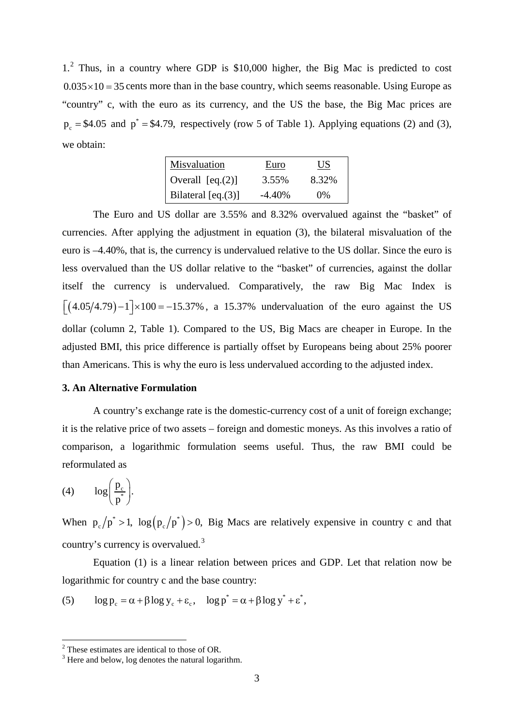1. [2](#page-4-0) Thus, in a country where GDP is \$10,000 higher, the Big Mac is predicted to cost  $0.035 \times 10 = 35$  cents more than in the base country, which seems reasonable. Using Europe as "country" c, with the euro as its currency, and the US the base, the Big Mac prices are  $p_c = $4.05$  and  $p^* = $4.79$ , respectively (row 5 of Table 1). Applying equations (2) and (3), we obtain:

| Misvaluation        | Euro      | US    |
|---------------------|-----------|-------|
| Overall $[eq. (2)]$ | 3.55%     | 8.32% |
| Bilateral [eq.(3)]  | $-4.40\%$ | $0\%$ |

The Euro and US dollar are 3.55% and 8.32% overvalued against the "basket" of currencies. After applying the adjustment in equation (3), the bilateral misvaluation of the euro is –4.40%, that is, the currency is undervalued relative to the US dollar. Since the euro is less overvalued than the US dollar relative to the "basket" of currencies, against the dollar itself the currency is undervalued. Comparatively, the raw Big Mac Index is  $\left[ (4.05/4.79) - 1 \right] \times 100 = -15.37\%$ , a 15.37% undervaluation of the euro against the US dollar (column 2, Table 1). Compared to the US, Big Macs are cheaper in Europe. In the adjusted BMI, this price difference is partially offset by Europeans being about 25% poorer than Americans. This is why the euro is less undervalued according to the adjusted index.

#### **3. An Alternative Formulation**

A country's exchange rate is the domestic-currency cost of a unit of foreign exchange; it is the relative price of two assets – foreign and domestic moneys. As this involves a ratio of comparison, a logarithmic formulation seems useful. Thus, the raw BMI could be reformulated as

(4)  $\log\left(\frac{p_c}{p^*}\right)$ .  $\left(\frac{\mathbf{p}_{\mathbf{c}}}{\mathbf{p}^{*}}\right)$ 

When  $p_c / p^* > 1$ ,  $\log (p_c / p^*) > 0$ , Big Macs are relatively expensive in country c and that country's currency is overvalued.[3](#page-4-1)

Equation (1) is a linear relation between prices and GDP. Let that relation now be logarithmic for country c and the base country:

(5) 
$$
\log p_c = \alpha + \beta \log y_c + \varepsilon_c, \quad \log p^* = \alpha + \beta \log y^* + \varepsilon^*,
$$

<span id="page-4-0"></span> $2^2$  These estimates are identical to those of OR.  $3^3$  Here and below, log denotes the natural logarithm.

<span id="page-4-1"></span>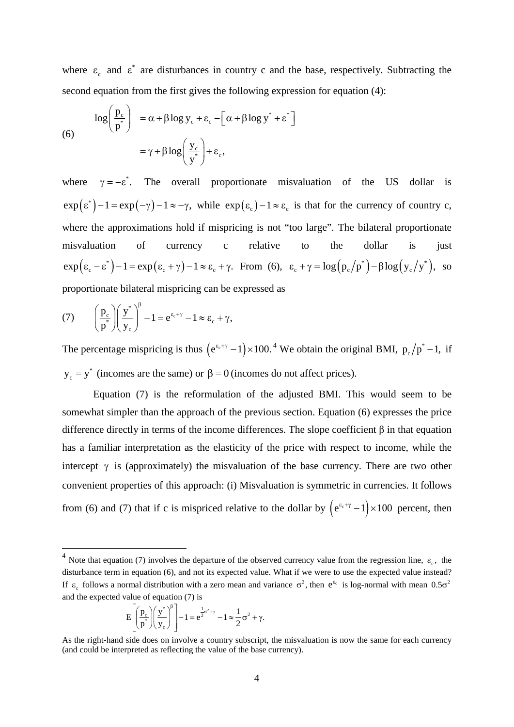where  $\varepsilon_c$  and  $\varepsilon^*$  are disturbances in country c and the base, respectively. Subtracting the second equation from the first gives the following expression for equation (4):

(6)  

$$
\log\left(\frac{p_c}{p^*}\right) = \alpha + \beta \log y_c + \varepsilon_c - \left[\alpha + \beta \log y^* + \varepsilon^*\right]
$$

$$
= \gamma + \beta \log\left(\frac{y_c}{y^*}\right) + \varepsilon_c,
$$

where  $\gamma = -\varepsilon^*$ . The overall proportionate misvaluation of the US dollar is  $\exp(\epsilon^*)-1 = \exp(-\gamma) - 1 \approx -\gamma$ , while  $\exp(\epsilon_c) - 1 \approx \epsilon_c$  is that for the currency of country c, where the approximations hold if mispricing is not "too large". The bilateral proportionate misvaluation of currency c relative to the dollar is just  $\exp(\varepsilon_c - \varepsilon^*) - 1 = \exp(\varepsilon_c + \gamma) - 1 \approx \varepsilon_c + \gamma$ . From (6),  $\varepsilon_c + \gamma = \log(p_c/p^*) - \beta \log(y_c/y^*)$ , so proportionate bilateral mispricing can be expressed as

(7) 
$$
\left(\frac{p_c}{p^*}\right)\left(\frac{y^*}{y_c}\right)^{\beta} - 1 = e^{\epsilon_c + \gamma} - 1 \approx \epsilon_c + \gamma,
$$

The percentage mispricing is thus  $(e^{(\epsilon + \gamma)} - 1) \times 100$ . <sup>[4](#page-5-0)</sup> We obtain the original BMI,  $p_c/p^* - 1$ , if  $y_c = y^*$  (incomes are the same) or  $\beta = 0$  (incomes do not affect prices).

Equation (7) is the reformulation of the adjusted BMI. This would seem to be somewhat simpler than the approach of the previous section. Equation (6) expresses the price difference directly in terms of the income differences. The slope coefficient  $\beta$  in that equation has a familiar interpretation as the elasticity of the price with respect to income, while the intercept  $\gamma$  is (approximately) the misvaluation of the base currency. There are two other convenient properties of this approach: (i) Misvaluation is symmetric in currencies. It follows from (6) and (7) that if c is mispriced relative to the dollar by  $(e^{\epsilon_c+\gamma} - 1) \times 100$  percent, then

$$
E\left[\left(\frac{p_c}{p^*}\right)\left(\frac{y^*}{y_c}\right)^{\beta}\right]-1=e^{\frac{1}{2}\sigma^2+\gamma}-1\approx\frac{1}{2}\sigma^2+\gamma.
$$

<span id="page-5-0"></span><sup>&</sup>lt;sup>4</sup> Note that equation (7) involves the departure of the observed currency value from the regression line,  $\varepsilon_c$ , the disturbance term in equation (6), and not its expected value. What if we were to use the expected value instead? If  $\varepsilon$  follows a normal distribution with a zero mean and variance  $\sigma^2$ , then  $e^{\varepsilon_c}$  is log-normal with mean  $0.5\sigma^2$ and the expected value of equation (7) is

As the right-hand side does on involve a country subscript, the misvaluation is now the same for each currency (and could be interpreted as reflecting the value of the base currency).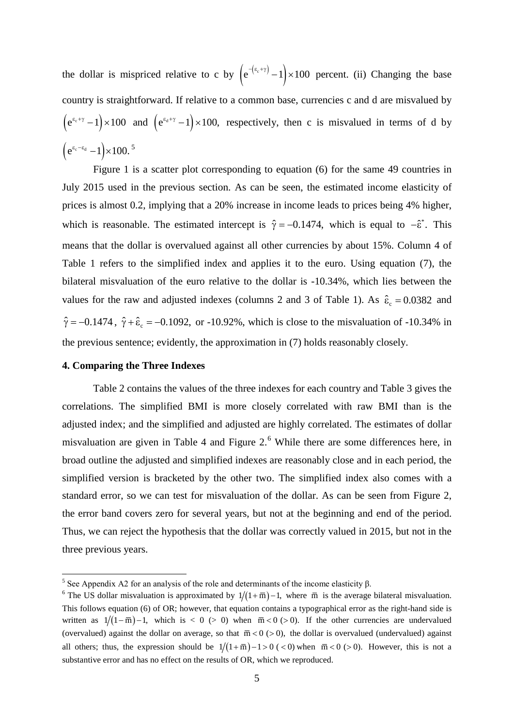the dollar is mispriced relative to c by  $(e^{-(\epsilon_c + \gamma)} - 1) \times 100$  percent. (ii) Changing the base country is straightforward. If relative to a common base, currencies c and d are misvalued by  $(e^{\epsilon_{e}+y}-1) \times 100$  and  $(e^{\epsilon_{d}+y}-1) \times 100$ , respectively, then c is misvalued in terms of d by  $(e^{\epsilon_c - \epsilon_d} - 1) \times 100$ .<sup>[5](#page-6-0)</sup>

Figure 1 is a scatter plot corresponding to equation (6) for the same 49 countries in July 2015 used in the previous section. As can be seen, the estimated income elasticity of prices is almost 0.2, implying that a 20% increase in income leads to prices being 4% higher, which is reasonable. The estimated intercept is  $\hat{\gamma} = -0.1474$ , which is equal to  $-\hat{\epsilon}^*$ . This means that the dollar is overvalued against all other currencies by about 15%. Column 4 of Table 1 refers to the simplified index and applies it to the euro. Using equation (7), the bilateral misvaluation of the euro relative to the dollar is -10.34%, which lies between the values for the raw and adjusted indexes (columns 2 and 3 of Table 1). As  $\hat{\epsilon}_c = 0.0382$  and  $\hat{\gamma} = -0.1474$ ,  $\hat{\gamma} + \hat{\epsilon}_c = -0.1092$ , or -10.92%, which is close to the misvaluation of -10.34% in the previous sentence; evidently, the approximation in (7) holds reasonably closely.

# **4. Comparing the Three Indexes**

Table 2 contains the values of the three indexes for each country and Table 3 gives the correlations. The simplified BMI is more closely correlated with raw BMI than is the adjusted index; and the simplified and adjusted are highly correlated. The estimates of dollar misvaluation are given in Table 4 and Figure 2.<sup>[6](#page-6-1)</sup> While there are some differences here, in broad outline the adjusted and simplified indexes are reasonably close and in each period, the simplified version is bracketed by the other two. The simplified index also comes with a standard error, so we can test for misvaluation of the dollar. As can be seen from Figure 2, the error band covers zero for several years, but not at the beginning and end of the period. Thus, we can reject the hypothesis that the dollar was correctly valued in 2015, but not in the three previous years.

<span id="page-6-0"></span><sup>&</sup>lt;sup>5</sup> See Appendix A2 for an analysis of the role and determinants of the income elasticity  $β$ .

<span id="page-6-1"></span><sup>&</sup>lt;sup>6</sup> The US dollar misvaluation is approximated by  $1/(1 + \overline{m}) - 1$ , where  $\overline{m}$  is the average bilateral misvaluation. This follows equation (6) of OR; however, that equation contains a typographical error as the right-hand side is written as  $1/((1 - \overline{m}) - 1$ , which is < 0 (> 0) when  $\overline{m} < 0$  (> 0). If the other currencies are undervalued (overvalued) against the dollar on average, so that  $\overline{m} < 0$  (> 0), the dollar is overvalued (undervalued) against all others; thus, the expression should be  $1/(1 + \overline{m}) - 1 > 0$  ( < 0) when  $\overline{m} < 0$  ( > 0). However, this is not a substantive error and has no effect on the results of OR, which we reproduced.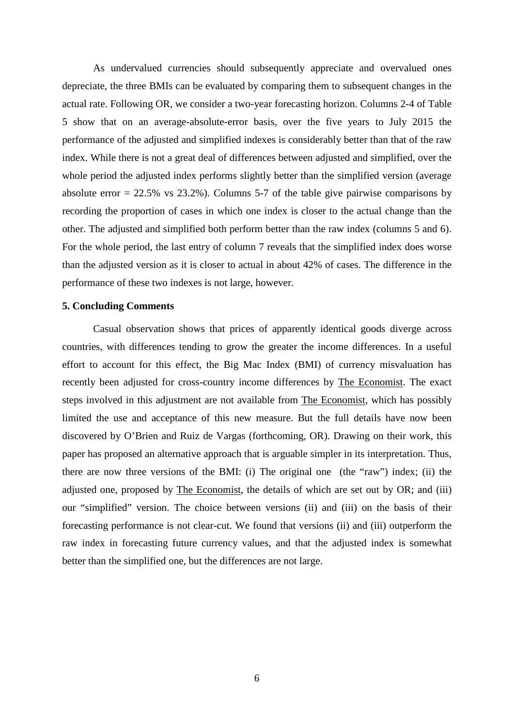As undervalued currencies should subsequently appreciate and overvalued ones depreciate, the three BMIs can be evaluated by comparing them to subsequent changes in the actual rate. Following OR, we consider a two-year forecasting horizon. Columns 2-4 of Table 5 show that on an average-absolute-error basis, over the five years to July 2015 the performance of the adjusted and simplified indexes is considerably better than that of the raw index. While there is not a great deal of differences between adjusted and simplified, over the whole period the adjusted index performs slightly better than the simplified version (average absolute error  $= 22.5\%$  vs 23.2%). Columns 5-7 of the table give pairwise comparisons by recording the proportion of cases in which one index is closer to the actual change than the other. The adjusted and simplified both perform better than the raw index (columns 5 and 6). For the whole period, the last entry of column 7 reveals that the simplified index does worse than the adjusted version as it is closer to actual in about 42% of cases. The difference in the performance of these two indexes is not large, however.

#### **5. Concluding Comments**

Casual observation shows that prices of apparently identical goods diverge across countries, with differences tending to grow the greater the income differences. In a useful effort to account for this effect, the Big Mac Index (BMI) of currency misvaluation has recently been adjusted for cross-country income differences by The Economist. The exact steps involved in this adjustment are not available from The Economist, which has possibly limited the use and acceptance of this new measure. But the full details have now been discovered by O'Brien and Ruiz de Vargas (forthcoming, OR). Drawing on their work, this paper has proposed an alternative approach that is arguable simpler in its interpretation. Thus, there are now three versions of the BMI: (i) The original one (the "raw") index; (ii) the adjusted one, proposed by The Economist, the details of which are set out by OR; and (iii) our "simplified" version. The choice between versions (ii) and (iii) on the basis of their forecasting performance is not clear-cut. We found that versions (ii) and (iii) outperform the raw index in forecasting future currency values, and that the adjusted index is somewhat better than the simplified one, but the differences are not large.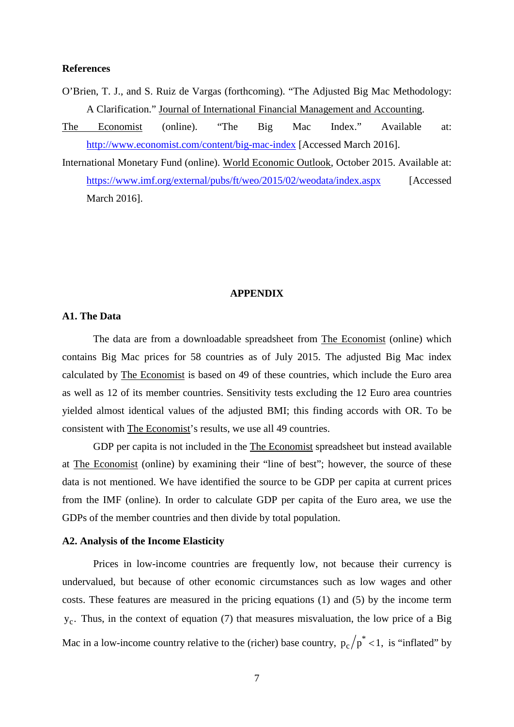#### **References**

- O'Brien, T. J., and S. Ruiz de Vargas (forthcoming). "The Adjusted Big Mac Methodology: A Clarification." Journal of International Financial Management and Accounting.
- The Economist (online). "The Big Mac Index." Available at: <http://www.economist.com/content/big-mac-index> [Accessed March 2016].

International Monetary Fund (online). World Economic Outlook, October 2015. Available at: <https://www.imf.org/external/pubs/ft/weo/2015/02/weodata/index.aspx> [Accessed March 2016].

## **APPENDIX**

# **A1. The Data**

The data are from a downloadable spreadsheet from The Economist (online) which contains Big Mac prices for 58 countries as of July 2015. The adjusted Big Mac index calculated by The Economist is based on 49 of these countries, which include the Euro area as well as 12 of its member countries. Sensitivity tests excluding the 12 Euro area countries yielded almost identical values of the adjusted BMI; this finding accords with OR. To be consistent with The Economist's results, we use all 49 countries.

GDP per capita is not included in the The Economist spreadsheet but instead available at The Economist (online) by examining their "line of best"; however, the source of these data is not mentioned. We have identified the source to be GDP per capita at current prices from the IMF (online). In order to calculate GDP per capita of the Euro area, we use the GDPs of the member countries and then divide by total population.

#### **A2. Analysis of the Income Elasticity**

Prices in low-income countries are frequently low, not because their currency is undervalued, but because of other economic circumstances such as low wages and other costs. These features are measured in the pricing equations (1) and (5) by the income term  $y_c$ . Thus, in the context of equation (7) that measures misvaluation, the low price of a Big Mac in a low-income country relative to the (richer) base country,  $p_c/p^* < 1$ , is "inflated" by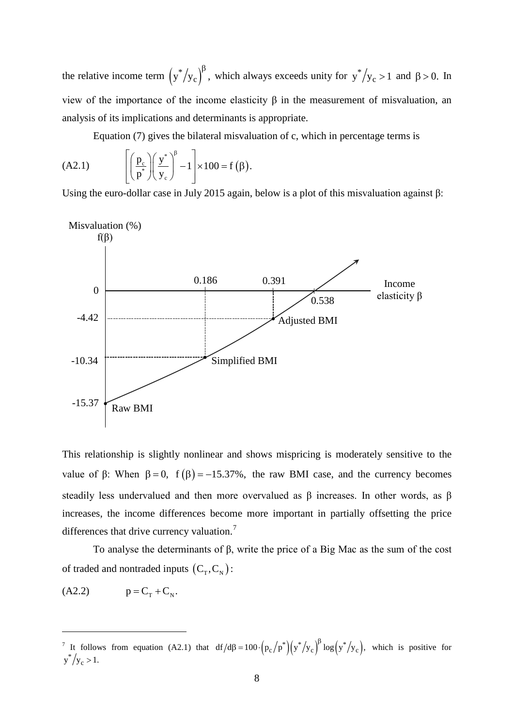the relative income term  $(y^*/y_c)^{\beta}$ , which always exceeds unity for  $y^*/y_c > 1$  and  $\beta > 0$ . In view of the importance of the income elasticity β in the measurement of misvaluation, an analysis of its implications and determinants is appropriate.

Equation (7) gives the bilateral misvaluation of c, which in percentage terms is

(A2.1) 
$$
\left[\left(\frac{p_c}{p^*}\right)\left(\frac{y^*}{y_c}\right)^{\beta}-1\right]\times 100=f(\beta).
$$

Using the euro-dollar case in July 2015 again, below is a plot of this misvaluation against  $\beta$ :



This relationship is slightly nonlinear and shows mispricing is moderately sensitive to the value of β: When  $\beta = 0$ ,  $f(\beta) = -15.37\%$ , the raw BMI case, and the currency becomes steadily less undervalued and then more overvalued as  $\beta$  increases. In other words, as  $\beta$ increases, the income differences become more important in partially offsetting the price differences that drive currency valuation.<sup>[7](#page-9-0)</sup>

To analyse the determinants of β, write the price of a Big Mac as the sum of the cost of traded and nontraded inputs  $(C_T, C_N)$ :

 $(A2.2)$   $p = C<sub>r</sub> + C<sub>N</sub>$ .

-

<span id="page-9-0"></span><sup>&</sup>lt;sup>7</sup> It follows from equation (A2.1) that  $df/d\beta = 100 \cdot (p_c/p^*) (y^*/y_c)^{\beta} \log (y^*/y_c)$ , which is positive for  $y^*/y_c > 1$ .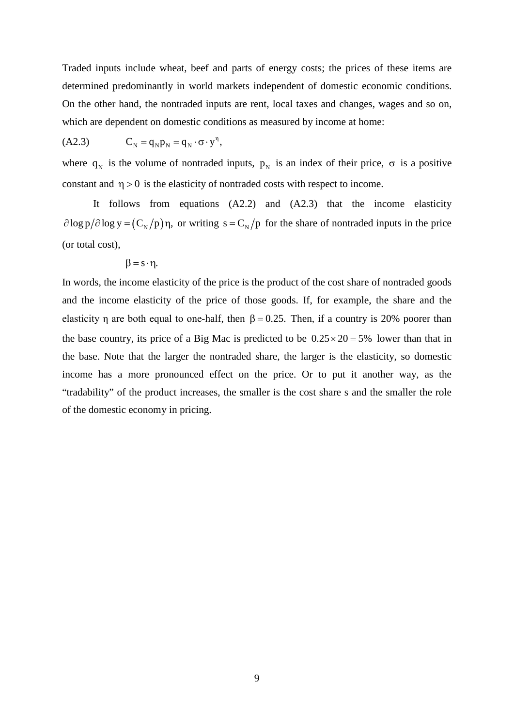Traded inputs include wheat, beef and parts of energy costs; the prices of these items are determined predominantly in world markets independent of domestic economic conditions. On the other hand, the nontraded inputs are rent, local taxes and changes, wages and so on, which are dependent on domestic conditions as measured by income at home:

$$
(A2.3) \tCN = qNpN = qN \cdot \sigma \cdot yn,
$$

where  $q_N$  is the volume of nontraded inputs,  $p_N$  is an index of their price,  $\sigma$  is a positive constant and  $\eta > 0$  is the elasticity of nontraded costs with respect to income.

It follows from equations (A2.2) and (A2.3) that the income elasticity  $\partial \log p / \partial \log y = (C_{N}/p) \eta$ , or writing s =  $C_{N}/p$  for the share of nontraded inputs in the price (or total cost),

$$
\beta = s \cdot \eta.
$$

In words, the income elasticity of the price is the product of the cost share of nontraded goods and the income elasticity of the price of those goods. If, for example, the share and the elasticity η are both equal to one-half, then  $\beta = 0.25$ . Then, if a country is 20% poorer than the base country, its price of a Big Mac is predicted to be  $0.25 \times 20 = 5\%$  lower than that in the base. Note that the larger the nontraded share, the larger is the elasticity, so domestic income has a more pronounced effect on the price. Or to put it another way, as the "tradability" of the product increases, the smaller is the cost share s and the smaller the role of the domestic economy in pricing.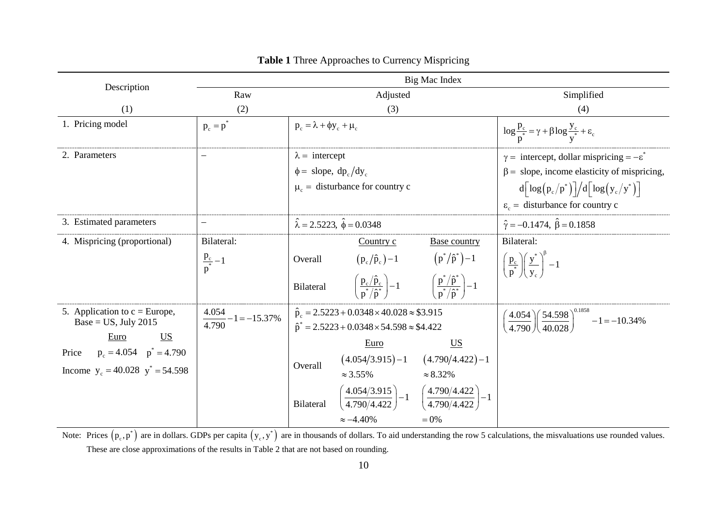|                                                                                                                                                             | Big Mac Index                                          |                                                                                                                                                                                                                                                                                                                                                                                                                                            |                                                                                                                                                                                                                                    |  |
|-------------------------------------------------------------------------------------------------------------------------------------------------------------|--------------------------------------------------------|--------------------------------------------------------------------------------------------------------------------------------------------------------------------------------------------------------------------------------------------------------------------------------------------------------------------------------------------------------------------------------------------------------------------------------------------|------------------------------------------------------------------------------------------------------------------------------------------------------------------------------------------------------------------------------------|--|
| Description                                                                                                                                                 | Raw                                                    | Adjusted                                                                                                                                                                                                                                                                                                                                                                                                                                   | Simplified                                                                                                                                                                                                                         |  |
| (1)                                                                                                                                                         | (2)                                                    | (3)                                                                                                                                                                                                                                                                                                                                                                                                                                        | (4)                                                                                                                                                                                                                                |  |
| 1. Pricing model                                                                                                                                            | $p_c = p$                                              | $p_c = \lambda + \phi y_c + \mu_c$                                                                                                                                                                                                                                                                                                                                                                                                         | $\log \frac{p_c}{n^*} = \gamma + \beta \log \frac{y_c}{n^*} + \varepsilon_c$                                                                                                                                                       |  |
| 2. Parameters                                                                                                                                               |                                                        | $\lambda =$ intercept<br>$\phi =$ slope, dp <sub>c</sub> /dy <sub>c</sub><br>$\mu_c$ = disturbance for country c                                                                                                                                                                                                                                                                                                                           | $\gamma =$ intercept, dollar mispricing = $-\epsilon^*$<br>$\beta$ = slope, income elasticity of mispricing,<br>$d \left[ \log (p_c/p^*) \right] / d \left[ \log (y_c/p^*) \right]$<br>$\varepsilon_c$ = disturbance for country c |  |
| 3. Estimated parameters                                                                                                                                     |                                                        | $\hat{\lambda} = 2.5223, \ \hat{\phi} = 0.0348$                                                                                                                                                                                                                                                                                                                                                                                            | $\hat{\gamma} = -0.1474$ , $\hat{\beta} = 0.1858$                                                                                                                                                                                  |  |
| 4. Mispricing (proportional)                                                                                                                                | Bilateral:<br>$\frac{p_c}{p^*} - 1$                    | Country $c$<br><b>Base country</b><br>$\left(p^*/\hat{p}^*\right)\!-\!1$<br>$(p_c/\hat{p}_c) - 1$<br>Overall<br>$\left(\frac{\mathbf{p}_c/\hat{\mathbf{p}}_c}{\mathbf{n}^*/\hat{\mathbf{n}}^*}\right) - 1$ $\left(\frac{\mathbf{p}^*/\hat{\mathbf{p}}^*}{\mathbf{n}^*/\hat{\mathbf{n}}^*}\right) - 1$<br>Bilateral                                                                                                                         | Bilateral:<br>$\left(\frac{\mathbf{p}_c}{\mathbf{p}^*}\right)\left(\frac{\mathbf{y}^*}{\mathbf{v}_c}\right)^{\beta}-1$                                                                                                             |  |
| 5. Application to $c = Europe$ ,<br>Base = $US$ , July 2015<br>$US$<br>Euro<br>$p_c = 4.054$ $p^* = 4.790$<br>Price<br>Income $y_c = 40.028$ $y^* = 54.598$ | $\frac{4.054}{-1} - 1 = -15.37\%$<br>$\frac{1}{4.790}$ | $\hat{p}_c = 2.5223 + 0.0348 \times 40.028 \approx $3.915$<br>$\hat{p}^* = 2.5223 + 0.0348 \times 54.598 \approx $4.422$<br>$\underline{\mathbf{U}}\underline{\mathbf{S}}$<br>Euro<br>$(4.054/3.915) - 1$ $(4.790/4.422) - 1$<br>Overall<br>$\approx$ 3.55%<br>$\approx 8.32\%$<br>$\left(\frac{4.054/3.915}{4.790/4.422}\right) - 1 \left(\frac{4.790/4.422}{4.790/4.422}\right) - 1$<br><b>Bilateral</b><br>$\approx -4.40\%$<br>$= 0\%$ | $\left(\frac{4.054}{4.790}\right)\left(\frac{54.598}{40.028}\right)^{0.1858}-1=-10.34\%$                                                                                                                                           |  |

**Table 1** Three Approaches to Currency Mispricing

Note: Prices  $(p_c, p^*)$  are in dollars. GDPs per capita  $(y_c, y^*)$  are in thousands of dollars. To aid understanding the row 5 calculations, the misvaluations use rounded values. These are close approximations of the results in Table 2 that are not based on rounding.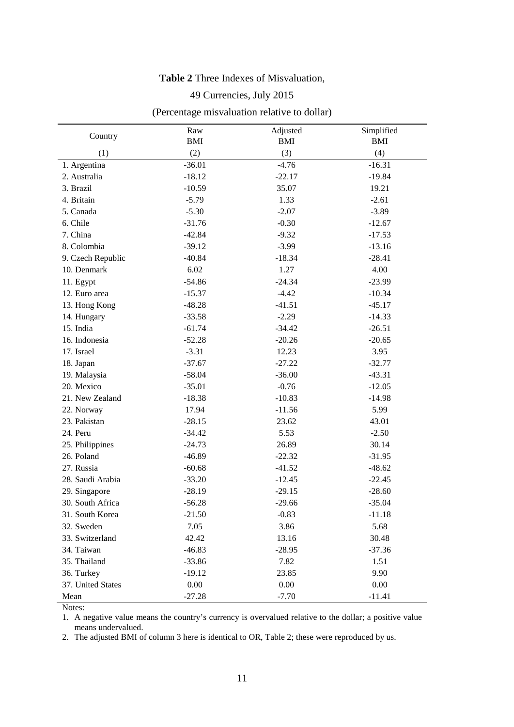# **Table 2** Three Indexes of Misvaluation,

# 49 Currencies, July 2015

# (Percentage misvaluation relative to dollar)

|                   | Raw        | Adjusted   | Simplified |
|-------------------|------------|------------|------------|
| Country           | <b>BMI</b> | <b>BMI</b> | <b>BMI</b> |
| (1)               | (2)        | (3)        | (4)        |
| 1. Argentina      | $-36.01$   | $-4.76$    | $-16.31$   |
| 2. Australia      | $-18.12$   | $-22.17$   | $-19.84$   |
| 3. Brazil         | $-10.59$   | 35.07      | 19.21      |
| 4. Britain        | $-5.79$    | 1.33       | $-2.61$    |
| 5. Canada         | $-5.30$    | $-2.07$    | $-3.89$    |
| 6. Chile          | $-31.76$   | $-0.30$    | $-12.67$   |
| 7. China          | $-42.84$   | $-9.32$    | $-17.53$   |
| 8. Colombia       | $-39.12$   | $-3.99$    | $-13.16$   |
| 9. Czech Republic | $-40.84$   | $-18.34$   | $-28.41$   |
| 10. Denmark       | 6.02       | 1.27       | 4.00       |
| 11. Egypt         | $-54.86$   | $-24.34$   | $-23.99$   |
| 12. Euro area     | $-15.37$   | $-4.42$    | $-10.34$   |
| 13. Hong Kong     | $-48.28$   | $-41.51$   | $-45.17$   |
| 14. Hungary       | $-33.58$   | $-2.29$    | $-14.33$   |
| 15. India         | $-61.74$   | $-34.42$   | $-26.51$   |
| 16. Indonesia     | $-52.28$   | $-20.26$   | $-20.65$   |
| 17. Israel        | $-3.31$    | 12.23      | 3.95       |
| 18. Japan         | $-37.67$   | $-27.22$   | $-32.77$   |
| 19. Malaysia      | $-58.04$   | $-36.00$   | $-43.31$   |
| 20. Mexico        | $-35.01$   | $-0.76$    | $-12.05$   |
| 21. New Zealand   | $-18.38$   | $-10.83$   | $-14.98$   |
| 22. Norway        | 17.94      | $-11.56$   | 5.99       |
| 23. Pakistan      | $-28.15$   | 23.62      | 43.01      |
| 24. Peru          | $-34.42$   | 5.53       | $-2.50$    |
| 25. Philippines   | $-24.73$   | 26.89      | 30.14      |
| 26. Poland        | $-46.89$   | $-22.32$   | $-31.95$   |
| 27. Russia        | $-60.68$   | $-41.52$   | $-48.62$   |
| 28. Saudi Arabia  | $-33.20$   | $-12.45$   | $-22.45$   |
| 29. Singapore     | $-28.19$   | $-29.15$   | $-28.60$   |
| 30. South Africa  | $-56.28$   | $-29.66$   | $-35.04$   |
| 31. South Korea   | $-21.50$   | $-0.83$    | $-11.18$   |
| 32. Sweden        | 7.05       | 3.86       | 5.68       |
| 33. Switzerland   | 42.42      | 13.16      | 30.48      |
| 34. Taiwan        | $-46.83$   | $-28.95$   | $-37.36$   |
| 35. Thailand      | $-33.86$   | 7.82       | 1.51       |
| 36. Turkey        | $-19.12$   | 23.85      | 9.90       |
| 37. United States | $0.00\,$   | 0.00       | 0.00       |
| Mean              | $-27.28$   | $-7.70$    | $-11.41$   |

Notes:

1. A negative value means the country's currency is overvalued relative to the dollar; a positive value means undervalued.

2. The adjusted BMI of column 3 here is identical to OR, Table 2; these were reproduced by us.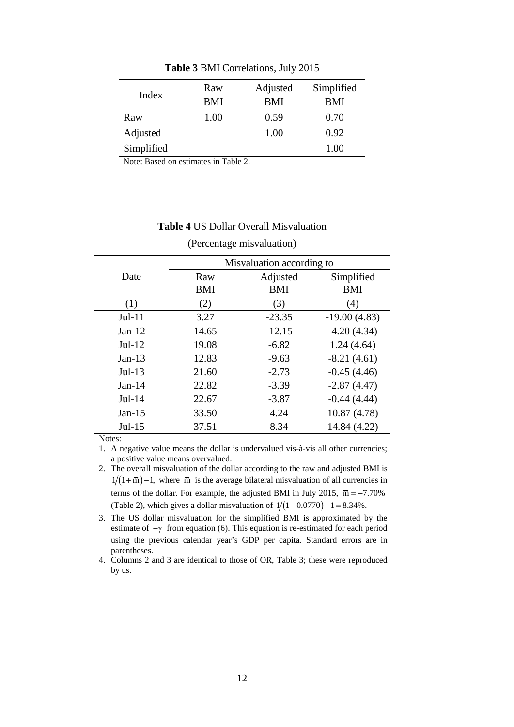| Index      | Raw<br><b>BMI</b> | Adjusted<br>BMI | Simplified<br>BMI |
|------------|-------------------|-----------------|-------------------|
| Raw        | 1.00              | 0.59            | 0.70              |
| Adjusted   |                   | 1.00            | 0.92              |
| Simplified |                   |                 | 1.00              |

**Table 3** BMI Correlations, July 2015

Note: Based on estimates in Table 2.

## **Table 4** US Dollar Overall Misvaluation

(Percentage misvaluation)

|          | Misvaluation according to |            |                |
|----------|---------------------------|------------|----------------|
| Date     | Raw                       | Adjusted   | Simplified     |
|          | BMI                       | <b>BMI</b> | <b>BMI</b>     |
| (1)      | (2)                       | (3)        | (4)            |
| $Jul-11$ | 3.27                      | $-23.35$   | $-19.00(4.83)$ |
| $Jan-12$ | 14.65                     | $-12.15$   | $-4.20(4.34)$  |
| $Jul-12$ | 19.08                     | $-6.82$    | 1.24(4.64)     |
| $Jan-13$ | 12.83                     | $-9.63$    | $-8.21(4.61)$  |
| $Jul-13$ | 21.60                     | $-2.73$    | $-0.45(4.46)$  |
| $Jan-14$ | 22.82                     | $-3.39$    | $-2.87(4.47)$  |
| $Jul-14$ | 22.67                     | $-3.87$    | $-0.44(4.44)$  |
| $Jan-15$ | 33.50                     | 4.24       | 10.87 (4.78)   |
| $Jul-15$ | 37.51                     | 8.34       | 14.84 (4.22)   |

Notes:

1. A negative value means the dollar is undervalued vis-à-vis all other currencies; a positive value means overvalued.

2. The overall misvaluation of the dollar according to the raw and adjusted BMI is  $1/(1 + \overline{m}) - 1$ , where  $\overline{m}$  is the average bilateral misvaluation of all currencies in terms of the dollar. For example, the adjusted BMI in July 2015,  $\overline{m} = -7.70\%$ (Table 2), which gives a dollar misvaluation of  $1/(1 - 0.0770) - 1 = 8.34\%$ .

3. The US dollar misvaluation for the simplified BMI is approximated by the estimate of  $-\gamma$  from equation (6). This equation is re-estimated for each period using the previous calendar year's GDP per capita. Standard errors are in parentheses.

4. Columns 2 and 3 are identical to those of OR, Table 3; these were reproduced by us.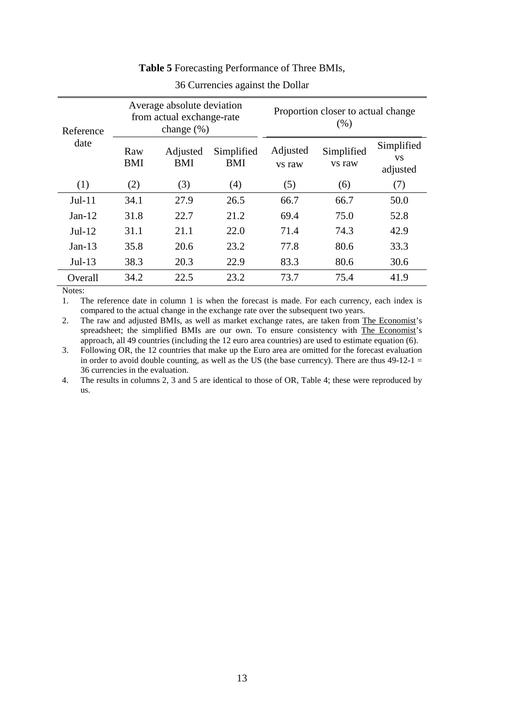| Reference | Average absolute deviation<br>from actual exchange-rate<br>change $(\%)$ |                        | Proportion closer to actual change<br>(% ) |                    |                      |                                     |
|-----------|--------------------------------------------------------------------------|------------------------|--------------------------------------------|--------------------|----------------------|-------------------------------------|
| date      | Raw<br><b>BMI</b>                                                        | Adjusted<br><b>BMI</b> | Simplified<br><b>BMI</b>                   | Adjusted<br>vs raw | Simplified<br>vs raw | Simplified<br><b>VS</b><br>adjusted |
| (1)       | (2)                                                                      | (3)                    | (4)                                        | (5)                | (6)                  | (7)                                 |
| $Jul-11$  | 34.1                                                                     | 27.9                   | 26.5                                       | 66.7               | 66.7                 | 50.0                                |
| $Jan-12$  | 31.8                                                                     | 22.7                   | 21.2                                       | 69.4               | 75.0                 | 52.8                                |
| $Jul-12$  | 31.1                                                                     | 21.1                   | 22.0                                       | 71.4               | 74.3                 | 42.9                                |
| $Jan-13$  | 35.8                                                                     | 20.6                   | 23.2                                       | 77.8               | 80.6                 | 33.3                                |
| $Jul-13$  | 38.3                                                                     | 20.3                   | 22.9                                       | 83.3               | 80.6                 | 30.6                                |
| Overall   | 34.2                                                                     | 22.5                   | 23.2                                       | 73.7               | 75.4                 | 41.9                                |

# **Table 5** Forecasting Performance of Three BMIs,

36 Currencies against the Dollar

Notes:

1. The reference date in column 1 is when the forecast is made. For each currency, each index is compared to the actual change in the exchange rate over the subsequent two years.

2. The raw and adjusted BMIs, as well as market exchange rates, are taken from The Economist's spreadsheet; the simplified BMIs are our own. To ensure consistency with The Economist's approach, all 49 countries (including the 12 euro area countries) are used to estimate equation (6).

3. Following OR, the 12 countries that make up the Euro area are omitted for the forecast evaluation in order to avoid double counting, as well as the US (the base currency). There are thus  $49-12-1$  = 36 currencies in the evaluation.

4. The results in columns 2, 3 and 5 are identical to those of OR, Table 4; these were reproduced by us.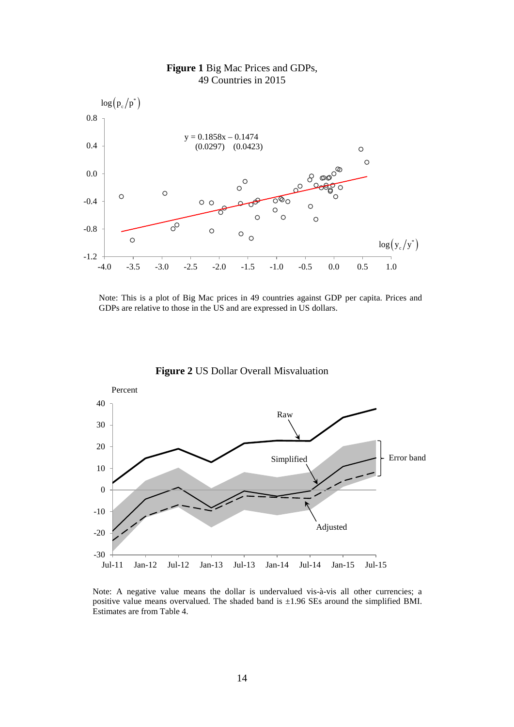

# **Figure 1** Big Mac Prices and GDPs, 49 Countries in 2015

Note: This is a plot of Big Mac prices in 49 countries against GDP per capita. Prices and GDPs are relative to those in the US and are expressed in US dollars.



**Figure 2** US Dollar Overall Misvaluation

Note: A negative value means the dollar is undervalued vis-à-vis all other currencies; a positive value means overvalued. The shaded band is  $\pm 1.96$  SEs around the simplified BMI. Estimates are from Table 4.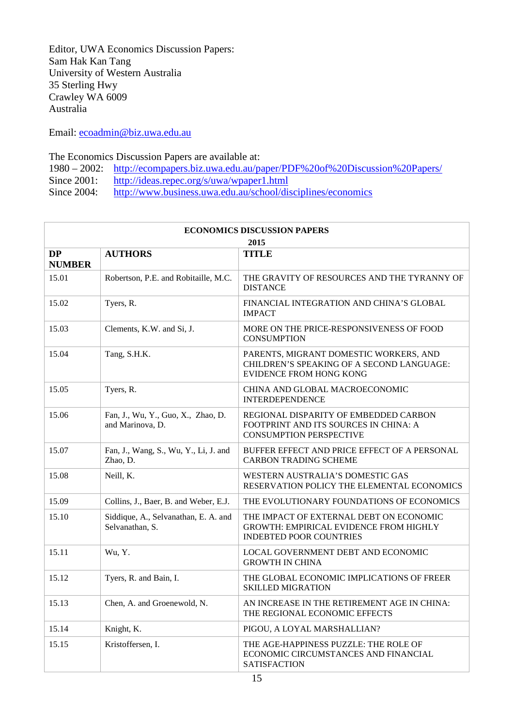Editor, UWA Economics Discussion Papers: Sam Hak Kan Tang University of Western Australia 35 Sterling Hwy Crawley WA 6009 Australia

Email: [ecoadmin@biz.uwa.edu.au](mailto:ecoadmin@biz.uwa.edu.au)

The Economics Discussion Papers are available at:

- 1980 2002: <http://ecompapers.biz.uwa.edu.au/paper/PDF%20of%20Discussion%20Papers/><br>Since 2001: http://ideas.repec.org/s/uwa/wpaper1.html
- <http://ideas.repec.org/s/uwa/wpaper1.html>
- Since 2004: <http://www.business.uwa.edu.au/school/disciplines/economics>

| <b>ECONOMICS DISCUSSION PAPERS</b> |                                                         |                                                                                                                            |  |
|------------------------------------|---------------------------------------------------------|----------------------------------------------------------------------------------------------------------------------------|--|
| 2015                               |                                                         |                                                                                                                            |  |
| <b>DP</b><br><b>NUMBER</b>         | <b>AUTHORS</b>                                          | <b>TITLE</b>                                                                                                               |  |
| 15.01                              | Robertson, P.E. and Robitaille, M.C.                    | THE GRAVITY OF RESOURCES AND THE TYRANNY OF<br><b>DISTANCE</b>                                                             |  |
| 15.02                              | Tyers, R.                                               | FINANCIAL INTEGRATION AND CHINA'S GLOBAL<br><b>IMPACT</b>                                                                  |  |
| 15.03                              | Clements, K.W. and Si, J.                               | MORE ON THE PRICE-RESPONSIVENESS OF FOOD<br><b>CONSUMPTION</b>                                                             |  |
| 15.04                              | Tang, S.H.K.                                            | PARENTS, MIGRANT DOMESTIC WORKERS, AND<br>CHILDREN'S SPEAKING OF A SECOND LANGUAGE:<br><b>EVIDENCE FROM HONG KONG</b>      |  |
| 15.05                              | Tyers, R.                                               | CHINA AND GLOBAL MACROECONOMIC<br><b>INTERDEPENDENCE</b>                                                                   |  |
| 15.06                              | Fan, J., Wu, Y., Guo, X., Zhao, D.<br>and Marinova, D.  | REGIONAL DISPARITY OF EMBEDDED CARBON<br>FOOTPRINT AND ITS SOURCES IN CHINA: A<br><b>CONSUMPTION PERSPECTIVE</b>           |  |
| 15.07                              | Fan, J., Wang, S., Wu, Y., Li, J. and<br>Zhao, D.       | BUFFER EFFECT AND PRICE EFFECT OF A PERSONAL<br><b>CARBON TRADING SCHEME</b>                                               |  |
| 15.08                              | Neill, K.                                               | WESTERN AUSTRALIA'S DOMESTIC GAS<br>RESERVATION POLICY THE ELEMENTAL ECONOMICS                                             |  |
| 15.09                              | Collins, J., Baer, B. and Weber, E.J.                   | THE EVOLUTIONARY FOUNDATIONS OF ECONOMICS                                                                                  |  |
| 15.10                              | Siddique, A., Selvanathan, E. A. and<br>Selvanathan, S. | THE IMPACT OF EXTERNAL DEBT ON ECONOMIC<br><b>GROWTH: EMPIRICAL EVIDENCE FROM HIGHLY</b><br><b>INDEBTED POOR COUNTRIES</b> |  |
| 15.11                              | Wu, Y.                                                  | LOCAL GOVERNMENT DEBT AND ECONOMIC<br><b>GROWTH IN CHINA</b>                                                               |  |
| 15.12                              | Tyers, R. and Bain, I.                                  | THE GLOBAL ECONOMIC IMPLICATIONS OF FREER<br><b>SKILLED MIGRATION</b>                                                      |  |
| 15.13                              | Chen, A. and Groenewold, N.                             | AN INCREASE IN THE RETIREMENT AGE IN CHINA:<br>THE REGIONAL ECONOMIC EFFECTS                                               |  |
| 15.14                              | Knight, K.                                              | PIGOU, A LOYAL MARSHALLIAN?                                                                                                |  |
| 15.15                              | Kristoffersen, I.                                       | THE AGE-HAPPINESS PUZZLE: THE ROLE OF<br>ECONOMIC CIRCUMSTANCES AND FINANCIAL<br><b>SATISFACTION</b>                       |  |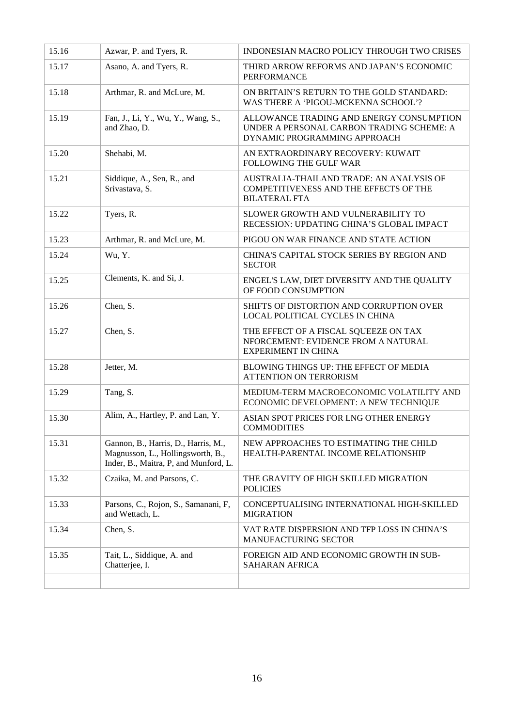| 15.16 | Azwar, P. and Tyers, R.                                                                                            | INDONESIAN MACRO POLICY THROUGH TWO CRISES                                                                            |
|-------|--------------------------------------------------------------------------------------------------------------------|-----------------------------------------------------------------------------------------------------------------------|
| 15.17 | Asano, A. and Tyers, R.                                                                                            | THIRD ARROW REFORMS AND JAPAN'S ECONOMIC<br><b>PERFORMANCE</b>                                                        |
| 15.18 | Arthmar, R. and McLure, M.                                                                                         | ON BRITAIN'S RETURN TO THE GOLD STANDARD:<br>WAS THERE A 'PIGOU-MCKENNA SCHOOL'?                                      |
| 15.19 | Fan, J., Li, Y., Wu, Y., Wang, S.,<br>and Zhao, D.                                                                 | ALLOWANCE TRADING AND ENERGY CONSUMPTION<br>UNDER A PERSONAL CARBON TRADING SCHEME: A<br>DYNAMIC PROGRAMMING APPROACH |
| 15.20 | Shehabi, M.                                                                                                        | AN EXTRAORDINARY RECOVERY: KUWAIT<br>FOLLOWING THE GULF WAR                                                           |
| 15.21 | Siddique, A., Sen, R., and<br>Srivastava, S.                                                                       | AUSTRALIA-THAILAND TRADE: AN ANALYSIS OF<br>COMPETITIVENESS AND THE EFFECTS OF THE<br><b>BILATERAL FTA</b>            |
| 15.22 | Tyers, R.                                                                                                          | SLOWER GROWTH AND VULNERABILITY TO<br>RECESSION: UPDATING CHINA'S GLOBAL IMPACT                                       |
| 15.23 | Arthmar, R. and McLure, M.                                                                                         | PIGOU ON WAR FINANCE AND STATE ACTION                                                                                 |
| 15.24 | Wu, Y.                                                                                                             | CHINA'S CAPITAL STOCK SERIES BY REGION AND<br><b>SECTOR</b>                                                           |
| 15.25 | Clements, K. and Si, J.                                                                                            | ENGEL'S LAW, DIET DIVERSITY AND THE QUALITY<br>OF FOOD CONSUMPTION                                                    |
| 15.26 | Chen, S.                                                                                                           | SHIFTS OF DISTORTION AND CORRUPTION OVER<br>LOCAL POLITICAL CYCLES IN CHINA                                           |
| 15.27 | Chen, S.                                                                                                           | THE EFFECT OF A FISCAL SQUEEZE ON TAX<br>NFORCEMENT: EVIDENCE FROM A NATURAL<br><b>EXPERIMENT IN CHINA</b>            |
| 15.28 | Jetter, M.                                                                                                         | BLOWING THINGS UP: THE EFFECT OF MEDIA<br><b>ATTENTION ON TERRORISM</b>                                               |
| 15.29 | Tang, S.                                                                                                           | MEDIUM-TERM MACROECONOMIC VOLATILITY AND<br>ECONOMIC DEVELOPMENT: A NEW TECHNIQUE                                     |
| 15.30 | Alim, A., Hartley, P. and Lan, Y.                                                                                  | ASIAN SPOT PRICES FOR LNG OTHER ENERGY<br><b>COMMODITIES</b>                                                          |
| 15.31 | Gannon, B., Harris, D., Harris, M.,<br>Magnusson, L., Hollingsworth, B.,<br>Inder, B., Maitra, P., and Munford, L. | NEW APPROACHES TO ESTIMATING THE CHILD<br>HEALTH-PARENTAL INCOME RELATIONSHIP                                         |
| 15.32 | Czaika, M. and Parsons, C.                                                                                         | THE GRAVITY OF HIGH SKILLED MIGRATION<br><b>POLICIES</b>                                                              |
| 15.33 | Parsons, C., Rojon, S., Samanani, F,<br>and Wettach, L.                                                            | CONCEPTUALISING INTERNATIONAL HIGH-SKILLED<br><b>MIGRATION</b>                                                        |
| 15.34 | Chen, S.                                                                                                           | VAT RATE DISPERSION AND TFP LOSS IN CHINA'S<br><b>MANUFACTURING SECTOR</b>                                            |
| 15.35 | Tait, L., Siddique, A. and<br>Chatterjee, I.                                                                       | FOREIGN AID AND ECONOMIC GROWTH IN SUB-<br><b>SAHARAN AFRICA</b>                                                      |
|       |                                                                                                                    |                                                                                                                       |